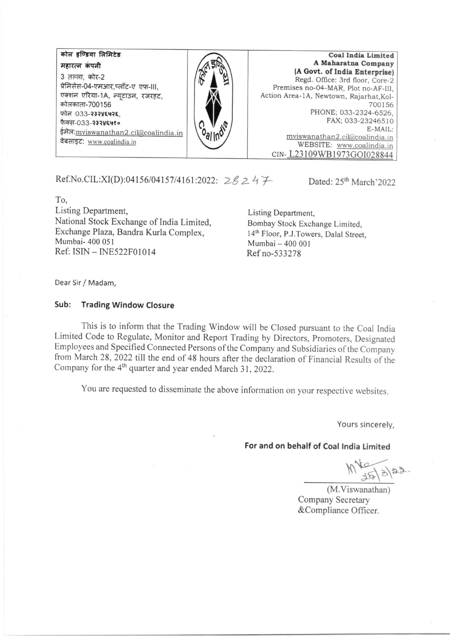कोल इण्डिया लिमिटेड महारत्न कंपनी 3 तल्ला, कोर-2 प्रेमिसेस-04-एमआर,प्लॉट-ए एफ-III. एक्शन एरिया-1A, न्यूटाउन, रजरहट, कोलकाता-700156 फोन 033-२३२४६५२६ फैक्स-033-२३२४६५१० ईमेल: mviswanathan2.cil@coalindia.in वेबसाइट: www.coalindia.in

**Coal India Limited** A Maharatna Company (A Govt. of India Enterprise) Regd. Office: 3rd floor, Core-2 Premises no-04-MAR, Plot no-AF-III. Action Area-1A, Newtown, Rajarhat, Kol-700156 PHONE: 033-2324-6526, FAX; 033-23246510 E-MAIL: mviswanathan2.cil@coalindia.in WEBSITE: www.coalindia.in CIN-L23109WB1973GOI028844

Ref.No.CIL:XI(D):04156/04157/4161:2022:  $28247$ 

Dated: 25<sup>th</sup> March'2022

To. Listing Department, National Stock Exchange of India Limited, Exchange Plaza, Bandra Kurla Complex, Mumbai- 400 051 Ref: ISIN - INE522F01014

Listing Department, Bombay Stock Exchange Limited. 14th Floor, P.J.Towers, Dalal Street, Mumbai - 400 001 Ref no-533278

Dear Sir / Madam,

## Sub: **Trading Window Closure**

This is to inform that the Trading Window will be Closed pursuant to the Coal India Limited Code to Regulate, Monitor and Report Trading by Directors, Promoters, Designated Employees and Specified Connected Persons of the Company and Subsidiaries of the Company from March 28, 2022 till the end of 48 hours after the declaration of Financial Results of the Company for the 4<sup>th</sup> quarter and year ended March 31, 2022.

You are requested to disseminate the above information on your respective websites.

Yours sincerely,

## For and on behalf of Coal India Limited

 $M_{35/3/22}$ 

(M.Viswanathan) Company Secretary &Compliance Officer.